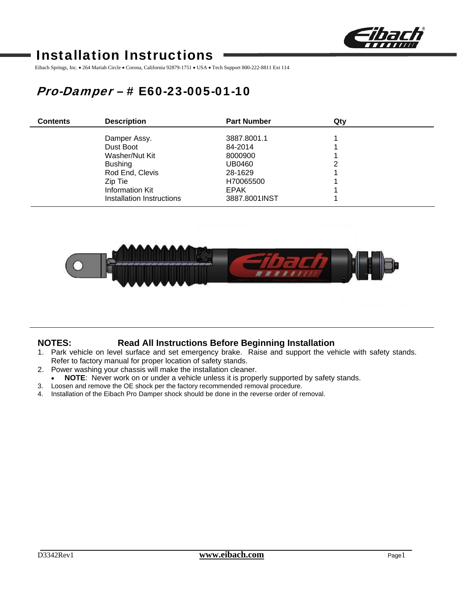

# Installation Instructions

Eibach Springs, Inc. • 264 Mariah Circle • Corona, California 92879-1751 • USA • Tech Support 800-222-8811 Ext 114

# Pro-Damper – # E60-23-005-01-10

| <b>Contents</b> | <b>Description</b>        | <b>Part Number</b> | Qtv |  |
|-----------------|---------------------------|--------------------|-----|--|
|                 | Damper Assy.              | 3887.8001.1        |     |  |
|                 | Dust Boot                 | 84-2014            |     |  |
|                 | Washer/Nut Kit            | 8000900            |     |  |
|                 | <b>Bushing</b>            | UB0460             | າ   |  |
|                 | Rod End, Clevis           | 28-1629            |     |  |
|                 | Zip Tie                   | H70065500          |     |  |
|                 | Information Kit           | <b>EPAK</b>        |     |  |
|                 | Installation Instructions | 3887.8001INST      |     |  |



## **NOTES: Read All Instructions Before Beginning Installation**

- 1. Park vehicle on level surface and set emergency brake. Raise and support the vehicle with safety stands. Refer to factory manual for proper location of safety stands.
- 2. Power washing your chassis will make the installation cleaner.
- **NOTE**: Never work on or under a vehicle unless it is properly supported by safety stands.
- 3. Loosen and remove the OE shock per the factory recommended removal procedure.
- 4. Installation of the Eibach Pro Damper shock should be done in the reverse order of removal.